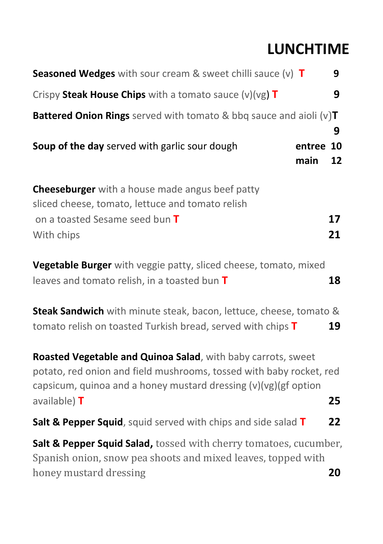# **LUNCHTIME**

| <b>Seasoned Wedges</b> with sour cream & sweet chilli sauce $(v)$ <b>T</b><br>9                                                                                                                                                |
|--------------------------------------------------------------------------------------------------------------------------------------------------------------------------------------------------------------------------------|
| Crispy Steak House Chips with a tomato sauce $(v)(vg)$ T<br>9                                                                                                                                                                  |
| <b>Battered Onion Rings</b> served with tomato & bbq sauce and aioli $(v)T$<br>9                                                                                                                                               |
| Soup of the day served with garlic sour dough<br>entree 10<br>main<br>12                                                                                                                                                       |
| <b>Cheeseburger</b> with a house made angus beef patty<br>sliced cheese, tomato, lettuce and tomato relish<br>17<br>on a toasted Sesame seed bun T<br>21<br>With chips                                                         |
| Vegetable Burger with veggie patty, sliced cheese, tomato, mixed<br>leaves and tomato relish, in a toasted bun T<br>18                                                                                                         |
| Steak Sandwich with minute steak, bacon, lettuce, cheese, tomato &<br>tomato relish on toasted Turkish bread, served with chips T<br>19                                                                                        |
| Roasted Vegetable and Quinoa Salad, with baby carrots, sweet<br>potato, red onion and field mushrooms, tossed with baby rocket, red<br>capsicum, quinoa and a honey mustard dressing $(v)(vg)(gf$ option<br>25<br>available) T |
| 22<br>Salt & Pepper Squid, squid served with chips and side salad T                                                                                                                                                            |
| Salt & Pepper Squid Salad, tossed with cherry tomatoes, cucumber,<br>Spanish onion, snow pea shoots and mixed leaves, topped with<br>20<br>honey mustard dressing                                                              |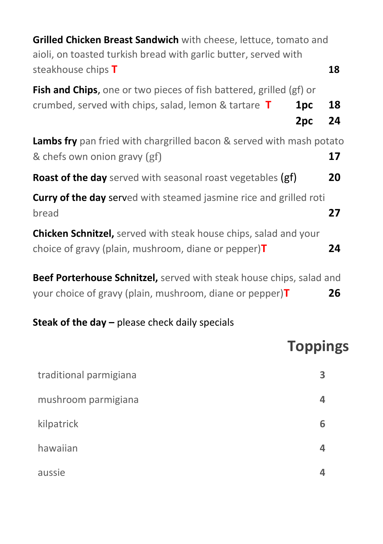| Grilled Chicken Breast Sandwich with cheese, lettuce, tomato and<br>aioli, on toasted turkish bread with garlic butter, served with                 |          |
|-----------------------------------------------------------------------------------------------------------------------------------------------------|----------|
| steakhouse chips T                                                                                                                                  | 18       |
| <b>Fish and Chips</b> , one or two pieces of fish battered, grilled (gf) or<br>crumbed, served with chips, salad, lemon & tartare $T$<br>1pc<br>2pc | 18<br>24 |
| <b>Lambs fry</b> pan fried with chargrilled bacon & served with mash potato<br>& chefs own onion gravy (gf)                                         | 17       |
| <b>Roast of the day</b> served with seasonal roast vegetables (gf)                                                                                  | 20       |
| <b>Curry of the day served with steamed jasmine rice and grilled roti</b><br>bread                                                                  | 27       |
| <b>Chicken Schnitzel,</b> served with steak house chips, salad and your<br>choice of gravy (plain, mushroom, diane or pepper) $T$                   | 24       |
| Beef Porterhouse Schnitzel, served with steak house chips, salad and                                                                                |          |

your choice of gravy (plain, mushroom, diane or pepper)**T 26**

#### **Steak of the day –** please check daily specials

# **Toppings**

| traditional parmigiana | з |
|------------------------|---|
| mushroom parmigiana    |   |
| kilpatrick             | 6 |
| hawaiian               |   |
| aussie                 |   |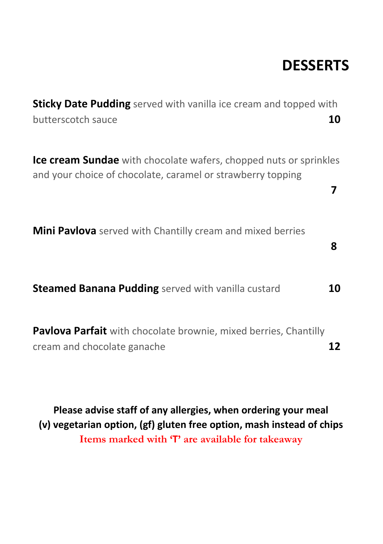# **DESSERTS**

| <b>Sticky Date Pudding</b> served with vanilla ice cream and topped with<br>butterscotch sauce                                          | 10 |
|-----------------------------------------------------------------------------------------------------------------------------------------|----|
| <b>Ice cream Sundae</b> with chocolate wafers, chopped nuts or sprinkles<br>and your choice of chocolate, caramel or strawberry topping | 7  |
| <b>Mini Pavlova</b> served with Chantilly cream and mixed berries                                                                       | 8  |
| <b>Steamed Banana Pudding</b> served with vanilla custard                                                                               | 10 |
| Pavlova Parfait with chocolate brownie, mixed berries, Chantilly<br>cream and chocolate ganache                                         | 12 |

**Please advise staff of any allergies, when ordering your meal (v) vegetarian option, (gf) gluten free option, mash instead of chips Items marked with 'T' are available for takeaway**